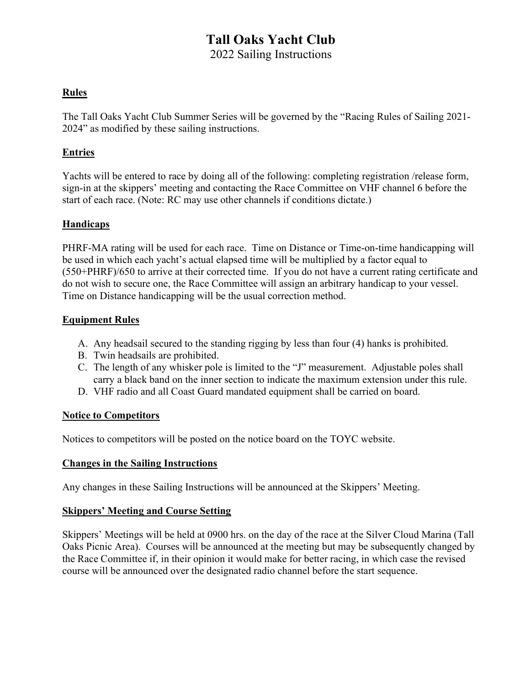# Tall Oaks Yacht Club

2022 Sailing Instructions

# Rules

The Tall Oaks Yacht Club Summer Series will be governed by the "Racing Rules of Sailing 2021- 2024" as modified by these sailing instructions.

# Entries

Yachts will be entered to race by doing all of the following: completing registration /release form, sign-in at the skippers' meeting and contacting the Race Committee on VHF channel 6 before the start of each race. (Note: RC may use other channels if conditions dictate.)

# **Handicaps**

PHRF-MA rating will be used for each race. Time on Distance or Time-on-time handicapping will be used in which each yacht's actual elapsed time will be multiplied by a factor equal to (550+PHRF)/650 to arrive at their corrected time. If you do not have a current rating certificate and do not wish to secure one, the Race Committee will assign an arbitrary handicap to your vessel. Time on Distance handicapping will be the usual correction method.

# Equipment Rules

- A. Any headsail secured to the standing rigging by less than four (4) hanks is prohibited.
- B. Twin headsails are prohibited.
- C. The length of any whisker pole is limited to the "J" measurement. Adjustable poles shall carry a black band on the inner section to indicate the maximum extension under this rule.
- D. VHF radio and all Coast Guard mandated equipment shall be carried on board.

# Notice to Competitors

Notices to competitors will be posted on the notice board on the TOYC website.

# Changes in the Sailing Instructions

Any changes in these Sailing Instructions will be announced at the Skippers' Meeting.

# Skippers' Meeting and Course Setting

Skippers' Meetings will be held at 0900 hrs. on the day of the race at the Silver Cloud Marina (Tall Oaks Picnic Area). Courses will be announced at the meeting but may be subsequently changed by the Race Committee if, in their opinion it would make for better racing, in which case the revised course will be announced over the designated radio channel before the start sequence.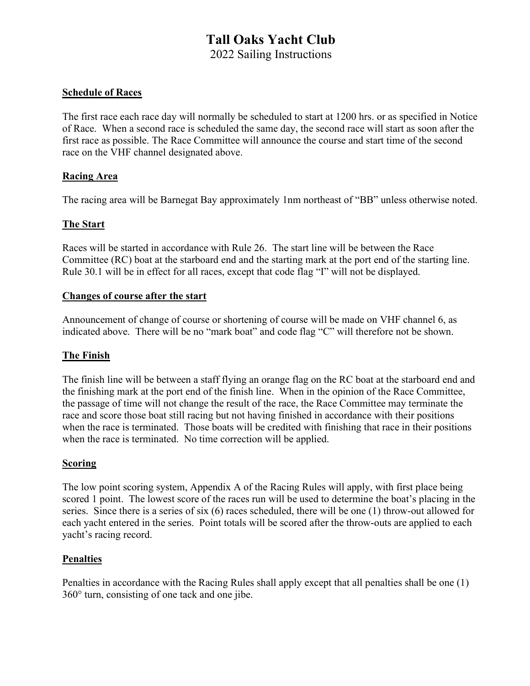# Tall Oaks Yacht Club

2022 Sailing Instructions

#### Schedule of Races

The first race each race day will normally be scheduled to start at 1200 hrs. or as specified in Notice of Race. When a second race is scheduled the same day, the second race will start as soon after the first race as possible. The Race Committee will announce the course and start time of the second race on the VHF channel designated above.

#### Racing Area

The racing area will be Barnegat Bay approximately 1nm northeast of "BB" unless otherwise noted.

# The Start

Races will be started in accordance with Rule 26. The start line will be between the Race Committee (RC) boat at the starboard end and the starting mark at the port end of the starting line. Rule 30.1 will be in effect for all races, except that code flag "I" will not be displayed.

#### Changes of course after the start

Announcement of change of course or shortening of course will be made on VHF channel 6, as indicated above. There will be no "mark boat" and code flag "C" will therefore not be shown.

#### The Finish

The finish line will be between a staff flying an orange flag on the RC boat at the starboard end and the finishing mark at the port end of the finish line. When in the opinion of the Race Committee, the passage of time will not change the result of the race, the Race Committee may terminate the race and score those boat still racing but not having finished in accordance with their positions when the race is terminated. Those boats will be credited with finishing that race in their positions when the race is terminated. No time correction will be applied.

# **Scoring**

The low point scoring system, Appendix A of the Racing Rules will apply, with first place being scored 1 point. The lowest score of the races run will be used to determine the boat's placing in the series. Since there is a series of six (6) races scheduled, there will be one (1) throw-out allowed for each yacht entered in the series. Point totals will be scored after the throw-outs are applied to each yacht's racing record.

#### **Penalties**

Penalties in accordance with the Racing Rules shall apply except that all penalties shall be one (1) 360° turn, consisting of one tack and one jibe.